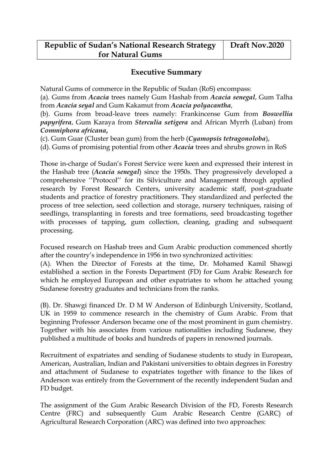## **Executive Summary**

Natural Gums of commerce in the Republic of Sudan (RoS) encompass:

(a). Gums from *Acacia* trees namely Gum Hashab from *Acacia senegal*, Gum Talha from *Acacia seyal* and Gum Kakamut from *Acacia polyacantha,*

(b). Gums from broad-leave trees namely: Frankincense Gum from *Boswellia papyrifera*, Gum Karaya from *Sterculia setigera* and African Myrrh (Luban) from *Commiphora africana***,**

(c). Gum Guar (Cluster bean gum) from the herb (*Cyamopsis tetragonoloba*),

(d). Gums of promising potential from other *Acacia* trees and shrubs grown in RoS

Those in-charge of Sudan's Forest Service were keen and expressed their interest in the Hashab tree (*Acacia senegal*) since the 1950s. They progressively developed a comprehensive ''Protocol'' for its Silviculture and Management through applied research by Forest Research Centers, university academic staff, post-graduate students and practice of forestry practitioners. They standardized and perfected the process of tree selection, seed collection and storage, nursery techniques, raising of seedlings, transplanting in forests and tree formations, seed broadcasting together with processes of tapping, gum collection, cleaning, grading and subsequent processing.

Focused research on Hashab trees and Gum Arabic production commenced shortly after the country's independence in 1956 in two synchronized activities:

(A). When the Director of Forests at the time, Dr. Mohamed Kamil Shawgi established a section in the Forests Department (FD) for Gum Arabic Research for which he employed European and other expatriates to whom he attached young Sudanese forestry graduates and technicians from the ranks.

(B). Dr. Shawgi financed Dr. D M W Anderson of Edinburgh University, Scotland, UK in 1959 to commence research in the chemistry of Gum Arabic. From that beginning Professor Anderson became one of the most prominent in gum chemistry. Together with his associates from various nationalities including Sudanese, they published a multitude of books and hundreds of papers in renowned journals.

Recruitment of expatriates and sending of Sudanese students to study in European, American, Australian, Indian and Pakistani universities to obtain degrees in Forestry and attachment of Sudanese to expatriates together with finance to the likes of Anderson was entirely from the Government of the recently independent Sudan and FD budget.

The assignment of the Gum Arabic Research Division of the FD, Forests Research Centre (FRC) and subsequently Gum Arabic Research Centre (GARC) of Agricultural Research Corporation (ARC) was defined into two approaches: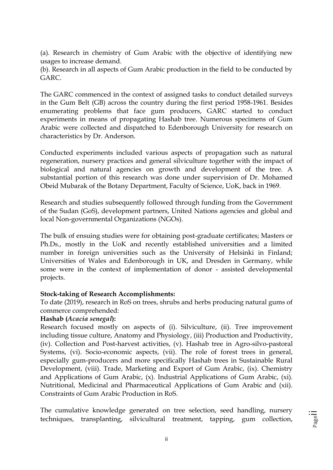(a). Research in chemistry of Gum Arabic with the objective of identifying new usages to increase demand.

(b). Research in all aspects of Gum Arabic production in the field to be conducted by GARC.

The GARC commenced in the context of assigned tasks to conduct detailed surveys in the Gum Belt (GB) across the country during the first period 1958-1961. Besides enumerating problems that face gum producers, GARC started to conduct experiments in means of propagating Hashab tree. Numerous specimens of Gum Arabic were collected and dispatched to Edenborough University for research on characteristics by Dr. Anderson.

Conducted experiments included various aspects of propagation such as natural regeneration, nursery practices and general silviculture together with the impact of biological and natural agencies on growth and development of the tree. A substantial portion of this research was done under supervision of Dr. Mohamed Obeid Mubarak of the Botany Department, Faculty of Science, UoK, back in 1969.

Research and studies subsequently followed through funding from the Government of the Sudan (GoS), development partners, United Nations agencies and global and local Non-governmental Organizations (NGOs).

The bulk of ensuing studies were for obtaining post-graduate certificates; Masters or Ph.Ds., mostly in the UoK and recently established universities and a limited number in foreign universities such as the University of Helsinki in Finland; Universities of Wales and Edenborough in UK, and Dresden in Germany, while some were in the context of implementation of donor - assisted developmental projects.

#### **Stock-taking of Research Accomplishments:**

To date (2019), research in RoS on trees, shrubs and herbs producing natural gums of commerce comprehended:

#### **Hashab (***Acacia senegal***):**

Research focused mostly on aspects of (i). Silviculture, (ii). Tree improvement including tissue culture, Anatomy and Physiology, (iii) Production and Productivity, (iv). Collection and Post-harvest activities, (v). Hashab tree in Agro-silvo-pastoral Systems, (vi). Socio-economic aspects, (vii). The role of forest trees in general, especially gum-producers and more specifically Hashab trees in Sustainable Rural Development, (viii). Trade, Marketing and Export of Gum Arabic, (ix). Chemistry and Applications of Gum Arabic, (x). Industrial Applications of Gum Arabic, (xi). Nutritional, Medicinal and Pharmaceutical Applications of Gum Arabic and (xii). Constraints of Gum Arabic Production in RoS.

The cumulative knowledge generated on tree selection, seed handling, nursery techniques, transplanting, silvicultural treatment, tapping, gum collection,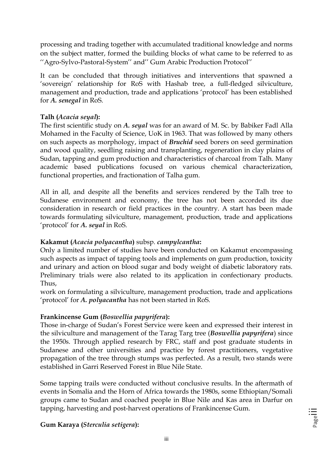processing and trading together with accumulated traditional knowledge and norms on the subject matter, formed the building blocks of what came to be referred to as ''Agro-Sylvo-Pastoral-System'' and'' Gum Arabic Production Protocol''

It can be concluded that through initiatives and interventions that spawned a 'sovereign' relationship for RoS with Hashab tree, a full-fledged silviculture, management and production, trade and applications 'protocol' has been established for *A. senegal* in RoS.

### **Talh (***Acacia seyal***):**

The first scientific study on *A. seyal* was for an award of M. Sc. by Babiker Fadl Alla Mohamed in the Faculty of Science, UoK in 1963. That was followed by many others on such aspects as morphology, impact of *Bruchid* seed borers on seed germination and wood quality, seedling raising and transplanting, regeneration in clay plains of Sudan, tapping and gum production and characteristics of charcoal from Talh. Many academic based publications focused on various chemical characterization, functional properties, and fractionation of Talha gum.

All in all, and despite all the benefits and services rendered by the Talh tree to Sudanese environment and economy, the tree has not been accorded its due consideration in research or field practices in the country. A start has been made towards formulating silviculture, management, production, trade and applications 'protocol' for *A. seyal* in RoS.

#### **Kakamut (***Acacia polyacantha***)** subsp. *campylcantha***:**

Only a limited number of studies have been conducted on Kakamut encompassing such aspects as impact of tapping tools and implements on gum production, toxicity and urinary and action on blood sugar and body weight of diabetic laboratory rats. Preliminary trials were also related to its application in confectionary products. Thus,

work on formulating a silviculture, management production, trade and applications 'protocol' for *A. polyacantha* has not been started in RoS.

#### **Frankincense Gum (***Boswellia papyrifera***):**

Those in-charge of Sudan's Forest Service were keen and expressed their interest in the silviculture and management of the Tarag Targ tree (*Boswellia papyrifera*) since the 1950s. Through applied research by FRC, staff and post graduate students in Sudanese and other universities and practice by forest practitioners, vegetative propagation of the tree through stumps was perfected. As a result, two stands were established in Garri Reserved Forest in Blue Nile State.

Some tapping trails were conducted without conclusive results. In the aftermath of events in Somalia and the Horn of Africa towards the 1980s, some Ethiopian/Somali groups came to Sudan and coached people in Blue Nile and Kas area in Darfur on tapping, harvesting and post-harvest operations of Frankincense Gum.

**Gum Karaya (***Sterculia setigera***):**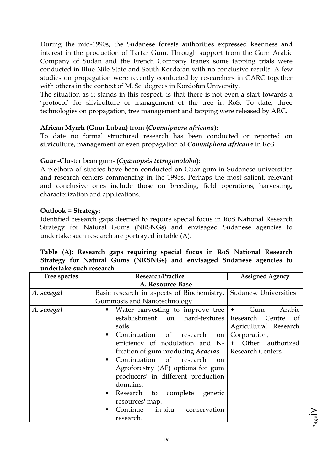During the mid-1990s, the Sudanese forests authorities expressed keenness and interest in the production of Tartar Gum. Through support from the Gum Arabic Company of Sudan and the French Company Iranex some tapping trials were conducted in Blue Nile State and South Kordofan with no conclusive results. A few studies on propagation were recently conducted by researchers in GARC together with others in the context of M. Sc. degrees in Kordofan University.

The situation as it stands in this respect, is that there is not even a start towards a 'protocol' for silviculture or management of the tree in RoS. To date, three technologies on propagation, tree management and tapping were released by ARC.

#### **African Myrrh (Gum Luban)** from **(***Commiphora africana***):**

To date no formal structured research has been conducted or reported on silviculture, management or even propagation of *Commiphora africana* in RoS.

#### **Guar -**Cluster bean gum- (*Cyamopsis tetragonoloba*):

A plethora of studies have been conducted on Guar gum in Sudanese universities and research centers commencing in the 1995s. Perhaps the most salient, relevant and conclusive ones include those on breeding, field operations, harvesting, characterization and applications.

#### **Outlook = Strategy**:

Identified research gaps deemed to require special focus in RoS National Research Strategy for Natural Gums (NRSNGs) and envisaged Sudanese agencies to undertake such research are portrayed in table (A).

| undertake such research |                                                                  |                        |
|-------------------------|------------------------------------------------------------------|------------------------|
| Tree species            | <b>Research/Practice</b>                                         | <b>Assigned Agency</b> |
|                         | A. Resource Base                                                 |                        |
| A. senegal              | Basic research in aspects of Biochemistry, Sudanese Universities |                        |
|                         | Gummosis and Nanotechnology                                      |                        |
| A. senegal              | • Water harvesting to improve tree $ +$                          | Arabic<br>Gum          |
|                         | establishment on hard-textures Research Centre of                |                        |
|                         | soils.                                                           | Agricultural Research  |
|                         | • Continuation<br>of research<br>on                              | Corporation,           |
|                         | efficiency of nodulation and $N-$ + Other authorized             |                        |
|                         | fixation of gum producing <i>Acacias</i> .   Research Centers    |                        |
|                         |                                                                  |                        |

# **Table (A): Research gaps requiring special focus in RoS National Research Strategy for Natural Gums (NRSNGs) and envisaged Sudanese agencies to**

|            | <u>Uditativsis and I vanoteenhology</u>                     |                       |
|------------|-------------------------------------------------------------|-----------------------|
| A. senegal | • Water harvesting to improve tree $  + \rangle$ Gum Arabic |                       |
|            | establishment on hard-textures Research Centre              | of                    |
|            | soils.                                                      | Agricultural Research |
|            | • Continuation of research on                               | Corporation,          |
|            | efficiency of nodulation and $N-$ + Other authorized        |                       |
|            | fixation of gum producing Acacias.   Research Centers       |                       |
|            | • Continuation of research on                               |                       |
|            | Agroforestry (AF) options for gum                           |                       |
|            | producers' in different production                          |                       |
|            | domains.                                                    |                       |
|            | Research to complete genetic                                |                       |
|            | resources' map.                                             |                       |
|            | Continue in-situ conservation<br>٠                          |                       |
|            | research.                                                   |                       |
|            |                                                             |                       |

Page<sup>I</sup>V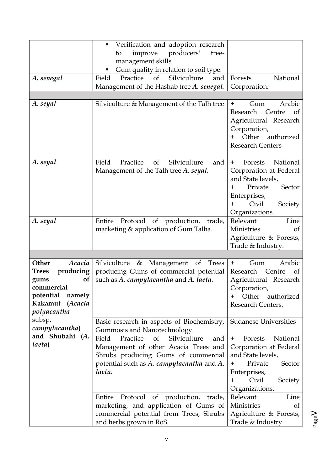|                                                                                                                                             | Verification and adoption research<br>п<br>producers'<br>improve<br>tree-<br>to                                                                                                      |                                                                                                                                                                                   |
|---------------------------------------------------------------------------------------------------------------------------------------------|--------------------------------------------------------------------------------------------------------------------------------------------------------------------------------------|-----------------------------------------------------------------------------------------------------------------------------------------------------------------------------------|
|                                                                                                                                             | management skills.<br>Gum quality in relation to soil type.                                                                                                                          |                                                                                                                                                                                   |
| A. senegal                                                                                                                                  | Practice of<br>Silviculture<br>Field<br>and                                                                                                                                          | National<br>Forests                                                                                                                                                               |
|                                                                                                                                             | Management of the Hashab tree A. senegal.                                                                                                                                            | Corporation.                                                                                                                                                                      |
|                                                                                                                                             |                                                                                                                                                                                      |                                                                                                                                                                                   |
| A. seyal                                                                                                                                    | Silviculture & Management of the Talh tree                                                                                                                                           | Arabic<br>Gum<br>$+$<br>Research Centre<br>of<br>Agricultural Research<br>Corporation,<br>Other<br>authorized<br><b>Research Centers</b>                                          |
| A. seyal                                                                                                                                    | Silviculture<br>Practice<br>Field<br>of<br>and<br>Management of the Talh tree A. seyal.                                                                                              | National<br>Forests<br>$+$<br>Corporation at Federal<br>and State levels,<br>Private<br>Sector<br>$\pm$<br>Enterprises,<br>Civil<br>Society<br>$\pm$<br>Organizations.            |
| A. seyal                                                                                                                                    | Protocol of production,<br>Entire<br>trade,<br>marketing & application of Gum Talha.                                                                                                 | Relevant<br>Line<br>Ministries<br>of<br>Agriculture & Forests,<br>Trade & Industry.                                                                                               |
|                                                                                                                                             |                                                                                                                                                                                      |                                                                                                                                                                                   |
| Acacia<br>Other<br>producing<br><b>Trees</b><br><b>of</b><br>gums<br>commercial<br>potential<br>namely<br>Kakamut<br>(Acacia<br>polyacantha | Silviculture<br>&<br>Management<br><b>Trees</b><br>of<br>producing Gums of commercial potential<br>such as A. campylacantha and A. laeta.                                            | Arabic<br>Gum<br>$+$<br>Research<br>Centre<br>of<br>Agricultural Research<br>Corporation,<br>Other authorized<br>┿<br>Research Centers.                                           |
| subsp.<br>campylacantha)<br>and Shubahi (A.                                                                                                 | Basic research in aspects of Biochemistry,<br>Gummosis and Nanotechnology.                                                                                                           | Sudanese Universities                                                                                                                                                             |
| laeta)                                                                                                                                      | Silviculture<br>Field<br>Practice<br>of<br>and<br>Management of other Acacia Trees and<br>Shrubs producing Gums of commercial<br>potential such as A. campylacantha and A.<br>laeta. | National<br>Forests<br>$+$<br>Corporation at Federal<br>and State levels,<br>Private<br>$\boldsymbol{+}$<br>Sector<br>Enterprises,<br>Civil<br>$\pm$<br>Society<br>Organizations. |
|                                                                                                                                             | Protocol of production, trade,<br>Entire<br>marketing, and application of Gums of<br>commercial potential from Trees, Shrubs<br>and herbs grown in RoS.                              | Relevant<br>Line<br>Ministries<br><sub>of</sub><br>Agriculture & Forests,<br>Trade & Industry                                                                                     |

Page  $\,>$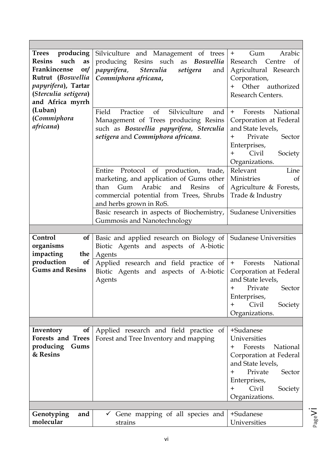| producing<br>Trees<br>such<br><b>Resins</b><br>as<br>Frankincense<br>or/<br>Rutrut (Boswellia<br>papyrifera), Tartar<br>(Sterculia setigera)<br>and Africa myrrh<br>(Luban) | Silviculture and Management of trees<br>producing<br>Resins such as Boswellia<br>papyrifera,<br><i><b>Sterculia</b></i><br>setigera<br>and<br>Commiphora africana,<br>Silviculture<br>Field<br>Practice<br>of<br>and  | Arabic<br>$+$<br>Gum<br>Research Centre<br>of<br>Agricultural Research<br>Corporation,<br>Other<br>authorized<br>$+$<br>Research Centers.<br>National<br>Forests<br>$+$                               |
|-----------------------------------------------------------------------------------------------------------------------------------------------------------------------------|-----------------------------------------------------------------------------------------------------------------------------------------------------------------------------------------------------------------------|-------------------------------------------------------------------------------------------------------------------------------------------------------------------------------------------------------|
| (Commiphora<br>africana)                                                                                                                                                    | Management of Trees producing Resins<br>such as Boswellia papyrifera, Sterculia<br>setigera and Commiphora africana.                                                                                                  | Corporation at Federal<br>and State levels,<br>Sector<br>Private<br>$\pm$<br>Enterprises,<br>Civil<br>Society<br>$\pm$<br>Organizations.                                                              |
|                                                                                                                                                                             | Entire<br>Protocol of production, trade,<br>marketing, and application of Gums other<br>Arabic<br>and<br>than<br>Gum<br>Resins<br><sub>of</sub><br>commercial potential from Trees, Shrubs<br>and herbs grown in RoS. | Relevant<br>Line<br>Ministries<br>of<br>Agriculture & Forests,<br>Trade & Industry                                                                                                                    |
|                                                                                                                                                                             | Basic research in aspects of Biochemistry,<br>Gummosis and Nanotechnology                                                                                                                                             | <b>Sudanese Universities</b>                                                                                                                                                                          |
|                                                                                                                                                                             |                                                                                                                                                                                                                       |                                                                                                                                                                                                       |
| Control<br><sub>of</sub><br>organisms<br>impacting<br>the                                                                                                                   | Basic and applied research on Biology of<br>Biotic Agents and aspects of A-biotic<br>Agents                                                                                                                           | <b>Sudanese Universities</b>                                                                                                                                                                          |
|                                                                                                                                                                             |                                                                                                                                                                                                                       |                                                                                                                                                                                                       |
| production<br><b>of</b><br><b>Gums and Resins</b>                                                                                                                           | Applied research and field practice of<br>Biotic Agents and aspects of A-biotic<br>Agents                                                                                                                             | National<br>Forests<br>$+$<br>Corporation at Federal<br>and State levels,<br>Private<br>Sector<br>$\pm$<br>Enterprises,<br>Civil<br>$\pm$<br>Society<br>Organizations.                                |
|                                                                                                                                                                             |                                                                                                                                                                                                                       |                                                                                                                                                                                                       |
| Inventory<br><b>of</b><br><b>Forests and Trees</b><br>producing<br>Gums<br>& Resins                                                                                         | Applied research and field practice of<br>Forest and Tree Inventory and mapping                                                                                                                                       | +Sudanese<br>Universities<br>Forests<br>National<br>$\pm$<br>Corporation at Federal<br>and State levels,<br>Private<br>Sector<br>$\pm$<br>Enterprises,<br>Civil<br>Society<br>$\pm$<br>Organizations. |
| Genotyping<br>and                                                                                                                                                           | $\checkmark$ Gene mapping of all species and                                                                                                                                                                          | +Sudanese                                                                                                                                                                                             |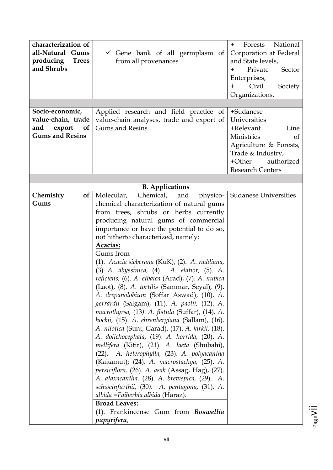| characterization of<br>all-Natural Gums<br>producing<br><b>Trees</b><br>and Shrubs<br>Socio-economic,<br>value-chain, trade<br>export<br>and<br><sub>of</sub><br><b>Gums and Resins</b> | $\checkmark$ Gene bank of all germplasm of<br>from all provenances<br>Applied research and field practice of<br>value-chain analyses, trade and export of<br><b>Gums and Resins</b>                                                                                                                                                                                                                                                                                                                                                                                                                                                                                                                                                                                                                                                                                                                                                                                                                                                                                                                                                                                              | National<br>Forests<br>$+$<br>Corporation at Federal<br>and State levels,<br>Private<br>Sector<br>$\pm$<br>Enterprises,<br>Civil<br>Society<br>$+$<br>Organizations.<br>+Sudanese<br>Universities<br>+Relevant<br>Line<br>Ministries<br>of<br>Agriculture & Forests,<br>Trade & Industry,<br>+Other<br>authorized<br><b>Research Centers</b> |
|-----------------------------------------------------------------------------------------------------------------------------------------------------------------------------------------|----------------------------------------------------------------------------------------------------------------------------------------------------------------------------------------------------------------------------------------------------------------------------------------------------------------------------------------------------------------------------------------------------------------------------------------------------------------------------------------------------------------------------------------------------------------------------------------------------------------------------------------------------------------------------------------------------------------------------------------------------------------------------------------------------------------------------------------------------------------------------------------------------------------------------------------------------------------------------------------------------------------------------------------------------------------------------------------------------------------------------------------------------------------------------------|----------------------------------------------------------------------------------------------------------------------------------------------------------------------------------------------------------------------------------------------------------------------------------------------------------------------------------------------|
|                                                                                                                                                                                         |                                                                                                                                                                                                                                                                                                                                                                                                                                                                                                                                                                                                                                                                                                                                                                                                                                                                                                                                                                                                                                                                                                                                                                                  |                                                                                                                                                                                                                                                                                                                                              |
|                                                                                                                                                                                         | <b>B.</b> Applications                                                                                                                                                                                                                                                                                                                                                                                                                                                                                                                                                                                                                                                                                                                                                                                                                                                                                                                                                                                                                                                                                                                                                           |                                                                                                                                                                                                                                                                                                                                              |
| Chemistry<br><b>of</b>                                                                                                                                                                  | Molecular,<br>Chemical, and<br>physico-                                                                                                                                                                                                                                                                                                                                                                                                                                                                                                                                                                                                                                                                                                                                                                                                                                                                                                                                                                                                                                                                                                                                          | <b>Sudanese Universities</b>                                                                                                                                                                                                                                                                                                                 |
| Gums                                                                                                                                                                                    | chemical characterization of natural gums<br>from trees, shrubs or herbs currently<br>producing natural gums of commercial<br>importance or have the potential to do so,<br>not hitherto characterized, namely:<br>Acacias:<br>Gums from<br>(1). Acacia sieberana (KuK), (2). A. raddiana,<br>(3) A. abyssinica, (4). A. elatior, (5). A.<br>reficiens, (6). A. etbaica (Arad), (7). A. nubica<br>(Laot), (8). A. tortilis (Sammar, Seyal), (9).<br>A. drepanolobium (Soffar Aswad), (10). A.<br>gerrardii (Salgam), (11). A. paolii, (12). A.<br>macrothyrsa, (13). A. fistula (Suffar), (14). A.<br>hockii, (15). A. ehrenbergiana (Sallam), (16).<br>A. nilotica (Sunt, Garad), (17). A. kirkii, (18).<br>A. dolichocephala, (19). A. horrida, (20). A.<br>mellifera (Kitir), (21). A. laeta (Shubahi),<br>(22). A. heterophylla, (23). A. polyacantha<br>(Kakamut); (24). A. macrostachya, (25). A.<br>persiciflora, (26). A. asak (Assag, Hag), (27).<br>A. ataxacantha, (28). A. brevispica, (29). A.<br>schweinfurthii, (30). A. pentagona, (31). A.<br>albida = Faiherbia albida (Haraz).<br><b>Broad Leaves:</b><br>(1). Frankincense Gum from Boswellia<br>papyrifera, |                                                                                                                                                                                                                                                                                                                                              |

Pagevii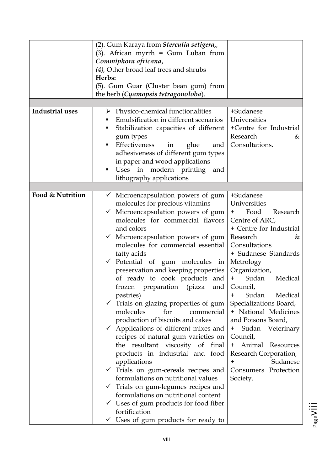|                  | (2). Gum Karaya from Sterculia setigera,,           |                         |
|------------------|-----------------------------------------------------|-------------------------|
|                  | (3). African myrrh = Gum Luban from                 |                         |
|                  | Commiphora africana,                                |                         |
|                  | (4), Other broad leaf trees and shrubs              |                         |
|                  | Herbs:                                              |                         |
|                  | (5). Gum Guar (Cluster bean gum) from               |                         |
|                  | the herb (Cyamopsis tetragonoloba).                 |                         |
|                  |                                                     |                         |
|                  |                                                     |                         |
| Industrial uses  | Physico-chemical functionalities<br>➤               | +Sudanese               |
|                  | Emulsification in different scenarios               | Universities            |
|                  | Stabilization capacities of different<br>п          | +Centre for Industrial  |
|                  | gum types                                           | Research<br>&           |
|                  | Effectiveness<br>glue<br>and<br>٠<br>in             | Consultations.          |
|                  | adhesiveness of different gum types                 |                         |
|                  | in paper and wood applications                      |                         |
|                  |                                                     |                         |
|                  | Uses in modern printing<br>and<br>п                 |                         |
|                  | lithography applications                            |                         |
|                  |                                                     |                         |
| Food & Nutrition | Microencapsulation powers of gum<br>$\checkmark$    | +Sudanese               |
|                  | molecules for precious vitamins                     | Universities            |
|                  | $\checkmark$ Microencapsulation powers of gum       | Food<br>Research<br>$+$ |
|                  | molecules for commercial flavors                    | Centre of ARC,          |
|                  | and colors                                          | + Centre for Industrial |
|                  |                                                     |                         |
|                  | $\checkmark$ Microencapsulation powers of gum       | Research<br>&           |
|                  | molecules for commercial essential                  | Consultations           |
|                  | fatty acids                                         | + Sudanese Standards    |
|                  | $\checkmark$ Potential of gum molecules in          | Metrology               |
|                  | preservation and keeping properties                 | Organization,           |
|                  | of ready to cook products and                       | Sudan<br>$+$<br>Medical |
|                  | frozen preparation (pizza and Council,              |                         |
|                  | pastries)                                           | Sudan<br>Medical<br>$+$ |
|                  | $\checkmark$ Trials on glazing properties of gum    | Specializations Board,  |
|                  | molecules<br>for<br>commercial                      | + National Medicines    |
|                  |                                                     |                         |
|                  | production of biscuits and cakes                    | and Poisons Board,      |
|                  | Applications of different mixes and<br>$\checkmark$ | + Sudan Veterinary      |
|                  | recipes of natural gum varieties on                 | Council,                |
|                  | the resultant viscosity of final                    | Animal Resources<br>$+$ |
|                  | products in industrial and food                     | Research Corporation,   |
|                  | applications                                        | Sudanese<br>$\pm$       |
|                  | $\checkmark$ Trials on gum-cereals recipes and      | Consumers Protection    |
|                  | formulations on nutritional values                  | Society.                |
|                  | Trials on gum-legumes recipes and<br>$\checkmark$   |                         |
|                  |                                                     |                         |
|                  | formulations on nutritional content                 |                         |
|                  | $\checkmark$ Uses of gum products for food fiber    |                         |
|                  | fortification                                       |                         |
|                  | $\checkmark$ Uses of gum products for ready to      |                         |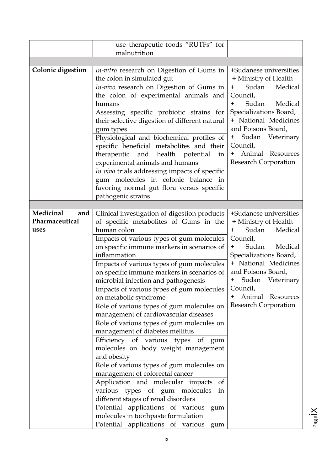|                          | use therapeutic foods "RUTFs" for                                               |                                |
|--------------------------|---------------------------------------------------------------------------------|--------------------------------|
|                          | malnutrition                                                                    |                                |
|                          |                                                                                 |                                |
| <b>Colonic digestion</b> | <i>In-vitro</i> research on Digestion of Gums in                                | +Sudanese universities         |
|                          | the colon in simulated gut                                                      | + Ministry of Health           |
|                          | <i>In-vivo</i> research on Digestion of Gums in                                 | Sudan<br>Medical<br>$+$        |
|                          | the colon of experimental animals and                                           | Council,                       |
|                          | humans                                                                          | Sudan<br>Medical<br>$+$        |
|                          | Assessing specific probiotic strains for                                        | Specializations Board,         |
|                          | their selective digestion of different natural                                  | + National Medicines           |
|                          | gum types                                                                       | and Poisons Board,             |
|                          | Physiological and biochemical profiles of                                       | Sudan Veterinary<br>$+$        |
|                          | specific beneficial metabolites and their                                       | Council,                       |
|                          | therapeutic and health potential<br>in                                          | Animal Resources<br>$^+$       |
|                          | experimental animals and humans                                                 | Research Corporation.          |
|                          | In vivo trials addressing impacts of specific                                   |                                |
|                          | gum molecules in colonic balance in                                             |                                |
|                          | favoring normal gut flora versus specific                                       |                                |
|                          | pathogenic strains                                                              |                                |
| Medicinal<br>and         | Clinical investigation of digestion products                                    | +Sudanese universities         |
| Pharmaceutical           | of specific metabolites of Gums in the                                          | + Ministry of Health           |
| uses                     | human colon                                                                     | Sudan<br>Medical<br>$\pm$      |
|                          | Impacts of various types of gum molecules                                       | Council,                       |
|                          | on specific immune markers in scenarios of                                      | Sudan<br>Medical<br>$\ddagger$ |
|                          | inflammation                                                                    | Specializations Board,         |
|                          | Impacts of various types of gum molecules                                       | + National Medicines           |
|                          | on specific immune markers in scenarios of                                      | and Poisons Board,             |
|                          | microbial infection and pathogenesis                                            | + Sudan Veterinary             |
|                          | Impacts of various types of gum molecules                                       | Council,                       |
|                          | on metabolic syndrome                                                           | Animal Resources<br>$\pm$      |
|                          | Role of various types of gum molecules on                                       | Research Corporation           |
|                          | management of cardiovascular diseases                                           |                                |
|                          | Role of various types of gum molecules on                                       |                                |
|                          | management of diabetes mellitus                                                 |                                |
|                          | Efficiency of various types of gum                                              |                                |
|                          | molecules on body weight management                                             |                                |
|                          | and obesity                                                                     |                                |
|                          | Role of various types of gum molecules on                                       |                                |
|                          | management of colorectal cancer                                                 |                                |
|                          | Application and molecular impacts<br>of                                         |                                |
|                          | various types of gum molecules<br>in                                            |                                |
|                          | different stages of renal disorders                                             |                                |
|                          | Potential applications of various gum                                           |                                |
|                          | molecules in toothpaste formulation<br>Potential applications of various<br>gum |                                |
|                          |                                                                                 |                                |

Pageix